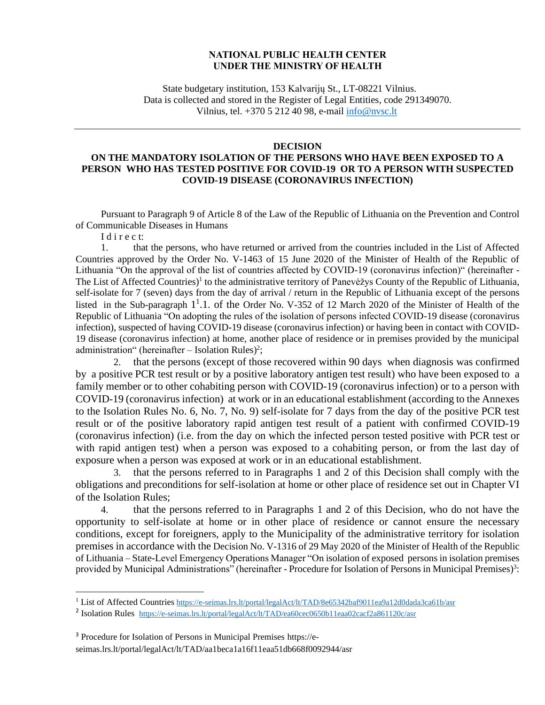## **NATIONAL PUBLIC HEALTH CENTER UNDER THE MINISTRY OF HEALTH**

State budgetary institution, 153 Kalvarijų St., LT-08221 Vilnius. Data is collected and stored in the Register of Legal Entities, code 291349070. Vilnius, tel. +370 5 212 40 98, e-mail [info@nvsc.lt](mailto:info@nvsc.lt)

## **DECISION**

## **ON THE MANDATORY ISOLATION OF THE PERSONS WHO HAVE BEEN EXPOSED TO A PERSON WHO HAS TESTED POSITIVE FOR COVID-19 OR TO A PERSON WITH SUSPECTED COVID-19 DISEASE (CORONAVIRUS INFECTION)**

Pursuant to Paragraph 9 of Article 8 of the Law of the Republic of Lithuania on the Prevention and Control of Communicable Diseases in Humans

I d i r e c t:

1. that the persons, who have returned or arrived from the countries included in the List of Affected Countries approved by the Order No. V-1463 of 15 June 2020 of the Minister of Health of the Republic of Lithuania "On the approval of the list of countries affected by COVID-19 (coronavirus infection)" (hereinafter - The List of Affected Countries)<sup>1</sup> to the administrative territory of Panevėžys County of the Republic of Lithuania, self-isolate for 7 (seven) days from the day of arrival / return in the Republic of Lithuania except of the persons listed in the Sub-paragraph 1<sup>1</sup>.1. of the Order No. V-352 of 12 March 2020 of the Minister of Health of the Republic of Lithuania "On adopting the rules of the isolation of persons infected COVID-19 disease (coronavirus infection), suspected of having COVID-19 disease (coronavirus infection) or having been in contact with COVID-19 disease (coronavirus infection) at home, another place of residence or in premises provided by the municipal administration" (hereinafter  $-$  Isolation Rules)<sup>2</sup>;

2. that the persons (except of those recovered within 90 days when diagnosis was confirmed by a positive PCR test result or by a positive laboratory antigen test result) who have been exposed to a family member or to other cohabiting person with COVID-19 (coronavirus infection) or to a person with COVID-19 (coronavirus infection) at work or in an educational establishment (according to the Annexes to the Isolation Rules No. 6, No. 7, No. 9) self-isolate for 7 days from the day of the positive PCR test result or of the positive laboratory rapid antigen test result of a patient with confirmed COVID-19 (coronavirus infection) (i.e. from the day on which the infected person tested positive with PCR test or with rapid antigen test) when a person was exposed to a cohabiting person, or from the last day of exposure when a person was exposed at work or in an educational establishment.

3. that the persons referred to in Paragraphs 1 and 2 of this Decision shall comply with the obligations and preconditions for self-isolation at home or other place of residence set out in Chapter VI of the Isolation Rules;

4. that the persons referred to in Paragraphs 1 and 2 of this Decision, who do not have the opportunity to self-isolate at home or in other place of residence or cannot ensure the necessary conditions, except for foreigners, apply to the Municipality of the administrative territory for isolation premises in accordance with the Decision No. V-1316 of 29 May 2020 of the Minister of Health of the Republic of Lithuania – State-Level Emergency Operations Manager "On isolation of exposed persons in isolation premises provided by Municipal Administrations" (hereinafter - Procedure for Isolation of Persons in Municipal Premises)<sup>3</sup>:

<sup>&</sup>lt;sup>1</sup> List of Affected Countries <https://e-seimas.lrs.lt/portal/legalAct/lt/TAD/8e65342baf9011ea9a12d0dada3ca61b/asr>

<sup>&</sup>lt;sup>2</sup> Isolation Rules <https://e-seimas.lrs.lt/portal/legalAct/lt/TAD/ea60cec0650b11eaa02cacf2a861120c/asr>

<sup>3</sup> Procedure for Isolation of Persons in Municipal Premises https://eseimas.lrs.lt/portal/legalAct/lt/TAD/aa1beca1a16f11eaa51db668f0092944/asr